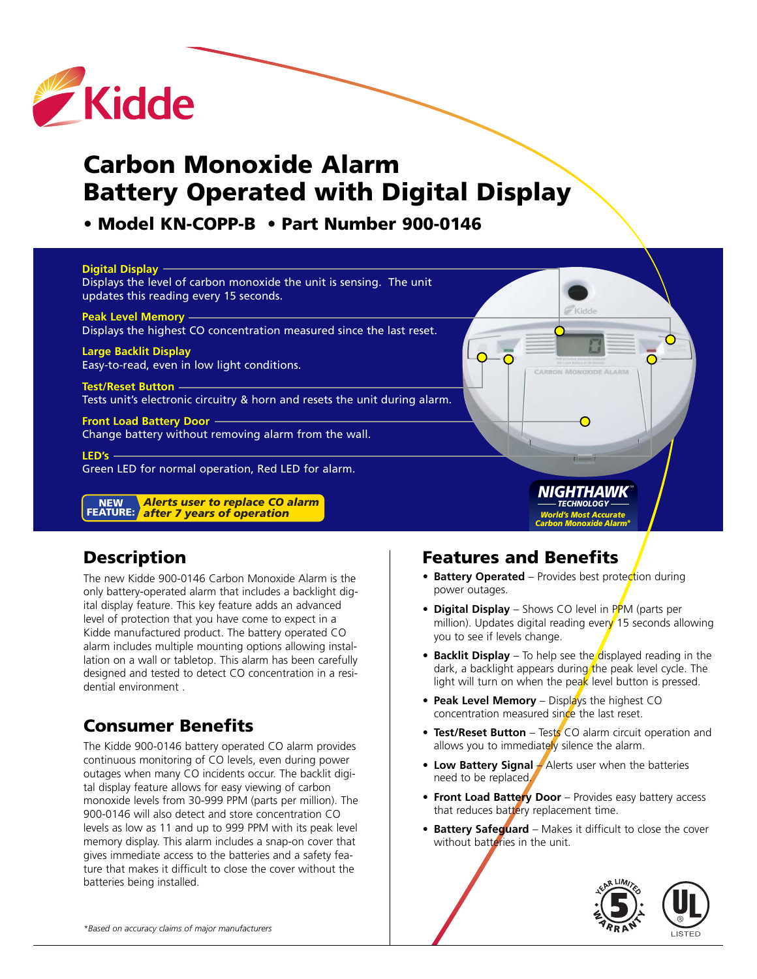

# **Carbon Monoxide Alarm Battery Operated with Digital Display**

## **• Model KN-COPP-B • Part Number 900-0146**

#### **Digital Display**

Displays the level of carbon monoxide the unit is sensing. The unit updates this reading every 15 seconds.

#### **Peak Level Memory** Displays the highest CO concentration measured since the last reset.

**Large Backlit Display** Easy-to-read, even in low light conditions.

**Test/Reset Button** Tests unit's electronic circuitry & horn and resets the unit during alarm.

**Front Load Battery Door**  Change battery without removing alarm from the wall.

**LED's**  Green LED for normal operation, Red LED for alarm.

*Alerts user to replace CO alarm after 7 years of operation* **FEATURE:NEW**

## **Description**

The new Kidde 900-0146 Carbon Monoxide Alarm is the only battery-operated alarm that includes a backlight digital display feature. This key feature adds an advanced level of protection that you have come to expect in a Kidde manufactured product. The battery operated CO alarm includes multiple mounting options allowing installation on a wall or tabletop. This alarm has been carefully designed and tested to detect CO concentration in a residential environment .

## **Consumer Benefits**

The Kidde 900-0146 battery operated CO alarm provides continuous monitoring of CO levels, even during power outages when many CO incidents occur. The backlit digital display feature allows for easy viewing of carbon monoxide levels from 30-999 PPM (parts per million). The 900-0146 will also detect and store concentration CO levels as low as 11 and up to 999 PPM with its peak level memory display. This alarm includes a snap-on cover that gives immediate access to the batteries and a safety feature that makes it difficult to close the cover without the batteries being installed.

#### **Features and Benefits**

- **Battery Operated** Provides best protection during power outages.
- **• Digital Display** Shows CO level in PPM (parts per million). Updates digital reading every 15 seconds allowing you to see if levels change.

*NIGHTHAWK TECHNOLOGY World's Most Accurate Carbon Monoxide Alarm\**

◠

- **• Backlit Display** To help see the displayed reading in the dark, a backlight appears during the peak level cycle. The light will turn on when the peak level button is pressed.
- **Peak Level Memory** Displays the highest CO concentration measured since the last reset.
- **Test/Reset Button** Tests CO alarm circuit operation and allows you to immediately silence the alarm.
- **• Low Battery Signal** Alerts user when the batteries need to be replaced.
- **Front Load Battery Door** Provides easy battery access that reduces battery replacement time.
- **• Battery Safeguard** Makes it difficult to close the cover without batteries in the unit.